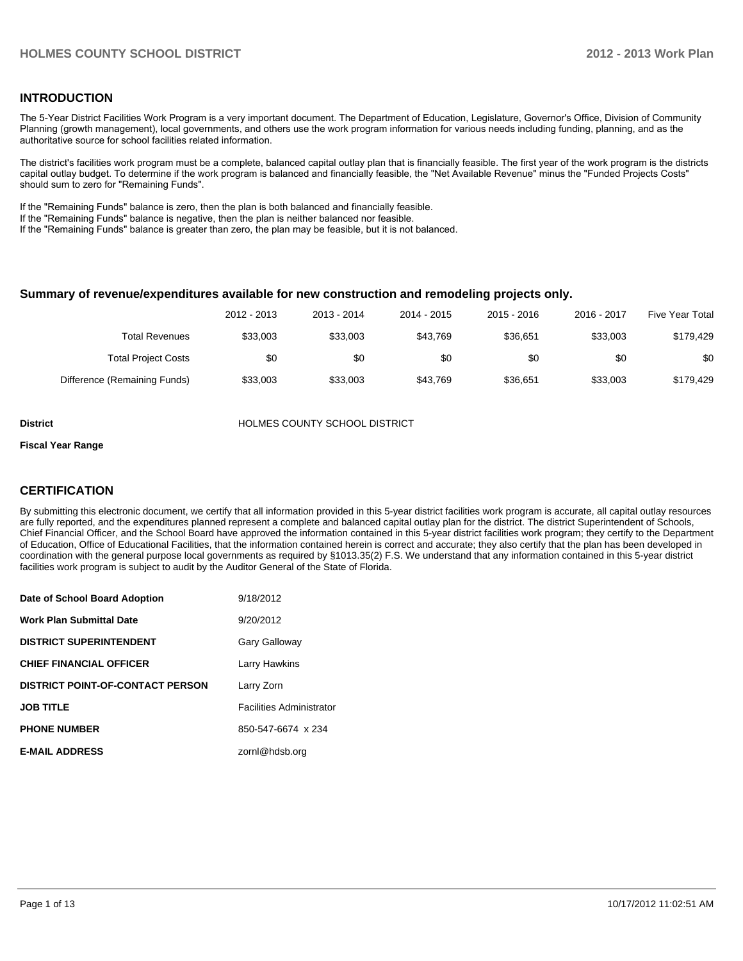### **INTRODUCTION**

The 5-Year District Facilities Work Program is a very important document. The Department of Education, Legislature, Governor's Office, Division of Community Planning (growth management), local governments, and others use the work program information for various needs including funding, planning, and as the authoritative source for school facilities related information.

The district's facilities work program must be a complete, balanced capital outlay plan that is financially feasible. The first year of the work program is the districts capital outlay budget. To determine if the work program is balanced and financially feasible, the "Net Available Revenue" minus the "Funded Projects Costs" should sum to zero for "Remaining Funds".

If the "Remaining Funds" balance is zero, then the plan is both balanced and financially feasible.

If the "Remaining Funds" balance is negative, then the plan is neither balanced nor feasible.

If the "Remaining Funds" balance is greater than zero, the plan may be feasible, but it is not balanced.

### **Summary of revenue/expenditures available for new construction and remodeling projects only.**

| <b>Five Year Total</b> | 2016 - 2017 | $2015 - 2016$ | 2014 - 2015 | 2013 - 2014 | 2012 - 2013 |                              |
|------------------------|-------------|---------------|-------------|-------------|-------------|------------------------------|
| \$179.429              | \$33,003    | \$36.651      | \$43.769    | \$33,003    | \$33,003    | Total Revenues               |
| \$0                    | \$0         | \$0           | \$0         | \$0         | \$0         | <b>Total Project Costs</b>   |
| \$179.429              | \$33,003    | \$36.651      | \$43.769    | \$33,003    | \$33,003    | Difference (Remaining Funds) |

**District COUNTY SCHOOL DISTRICT** 

#### **Fiscal Year Range**

### **CERTIFICATION**

By submitting this electronic document, we certify that all information provided in this 5-year district facilities work program is accurate, all capital outlay resources are fully reported, and the expenditures planned represent a complete and balanced capital outlay plan for the district. The district Superintendent of Schools, Chief Financial Officer, and the School Board have approved the information contained in this 5-year district facilities work program; they certify to the Department of Education, Office of Educational Facilities, that the information contained herein is correct and accurate; they also certify that the plan has been developed in coordination with the general purpose local governments as required by §1013.35(2) F.S. We understand that any information contained in this 5-year district facilities work program is subject to audit by the Auditor General of the State of Florida.

| Date of School Board Adoption           | 9/18/2012                       |
|-----------------------------------------|---------------------------------|
| <b>Work Plan Submittal Date</b>         | 9/20/2012                       |
| <b>DISTRICT SUPERINTENDENT</b>          | Gary Galloway                   |
| <b>CHIEF FINANCIAL OFFICER</b>          | Larry Hawkins                   |
| <b>DISTRICT POINT-OF-CONTACT PERSON</b> | Larry Zorn                      |
| <b>JOB TITLE</b>                        | <b>Facilities Administrator</b> |
| <b>PHONE NUMBER</b>                     | 850-547-6674 x 234              |
| <b>E-MAIL ADDRESS</b>                   | zornl@hdsb.org                  |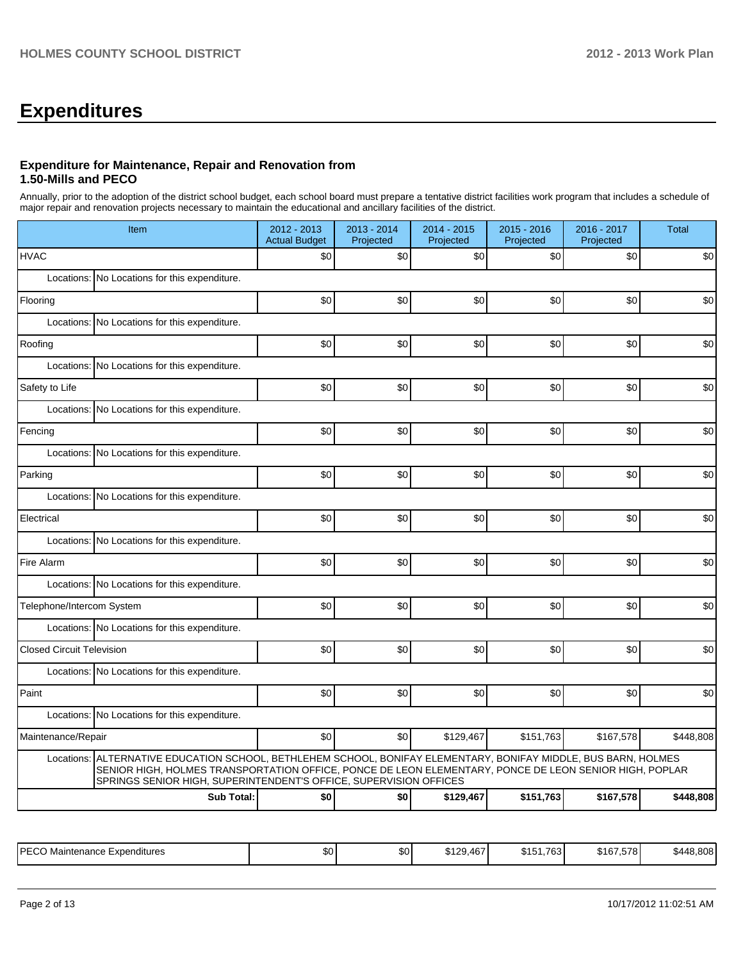# **Expenditures**

### **Expenditure for Maintenance, Repair and Renovation from 1.50-Mills and PECO**

Annually, prior to the adoption of the district school budget, each school board must prepare a tentative district facilities work program that includes a schedule of major repair and renovation projects necessary to maintain the educational and ancillary facilities of the district.

| Item                                                                                                                                                                                                                                                                                              | 2012 - 2013<br><b>Actual Budget</b> | 2013 - 2014<br>Projected | 2014 - 2015<br>Projected | 2015 - 2016<br>Projected | 2016 - 2017<br>Projected | <b>Total</b> |
|---------------------------------------------------------------------------------------------------------------------------------------------------------------------------------------------------------------------------------------------------------------------------------------------------|-------------------------------------|--------------------------|--------------------------|--------------------------|--------------------------|--------------|
| <b>HVAC</b>                                                                                                                                                                                                                                                                                       | \$0                                 | \$0                      | \$0                      | \$0                      | \$0                      | \$0          |
| Locations: No Locations for this expenditure.                                                                                                                                                                                                                                                     |                                     |                          |                          |                          |                          |              |
| Flooring                                                                                                                                                                                                                                                                                          | \$0                                 | \$0                      | \$0                      | \$0                      | \$0                      | \$0          |
| Locations: No Locations for this expenditure.                                                                                                                                                                                                                                                     |                                     |                          |                          |                          |                          |              |
| Roofing                                                                                                                                                                                                                                                                                           | \$0                                 | \$0                      | \$0                      | \$0                      | \$0                      | \$0          |
| Locations: No Locations for this expenditure.                                                                                                                                                                                                                                                     |                                     |                          |                          |                          |                          |              |
| Safety to Life                                                                                                                                                                                                                                                                                    | \$0                                 | \$0                      | \$0                      | \$0                      | \$0                      | \$0          |
| Locations:<br>No Locations for this expenditure.                                                                                                                                                                                                                                                  |                                     |                          |                          |                          |                          |              |
| Fencing                                                                                                                                                                                                                                                                                           | \$0                                 | \$0                      | \$0                      | \$0                      | \$0                      | \$0          |
| Locations: No Locations for this expenditure.                                                                                                                                                                                                                                                     |                                     |                          |                          |                          |                          |              |
| Parking                                                                                                                                                                                                                                                                                           | \$0                                 | \$0                      | \$0                      | \$0                      | \$0                      | \$0          |
| Locations: No Locations for this expenditure.                                                                                                                                                                                                                                                     |                                     |                          |                          |                          |                          |              |
| Electrical                                                                                                                                                                                                                                                                                        | \$0                                 | \$0                      | \$0                      | \$0                      | \$0                      | \$0          |
| Locations: No Locations for this expenditure.                                                                                                                                                                                                                                                     |                                     |                          |                          |                          |                          |              |
| Fire Alarm                                                                                                                                                                                                                                                                                        | \$0                                 | \$0                      | \$0                      | \$0                      | \$0                      | \$0          |
| Locations: No Locations for this expenditure.                                                                                                                                                                                                                                                     |                                     |                          |                          |                          |                          |              |
| Telephone/Intercom System                                                                                                                                                                                                                                                                         | \$0                                 | \$0                      | \$0                      | \$0                      | \$0                      | \$0          |
| Locations: No Locations for this expenditure.                                                                                                                                                                                                                                                     |                                     |                          |                          |                          |                          |              |
| <b>Closed Circuit Television</b>                                                                                                                                                                                                                                                                  | \$0                                 | SO <sub>2</sub>          | \$0                      | \$0                      | \$0                      | \$0          |
| Locations: No Locations for this expenditure.                                                                                                                                                                                                                                                     |                                     |                          |                          |                          |                          |              |
| Paint                                                                                                                                                                                                                                                                                             | \$0                                 | \$0                      | \$0                      | \$0                      | \$0                      | \$0          |
| Locations: No Locations for this expenditure.                                                                                                                                                                                                                                                     |                                     |                          |                          |                          |                          |              |
| Maintenance/Repair                                                                                                                                                                                                                                                                                | \$0                                 | \$0                      | \$129,467                | \$151,763                | \$167,578                | \$448,808    |
| ALTERNATIVE EDUCATION SCHOOL, BETHLEHEM SCHOOL, BONIFAY ELEMENTARY, BONIFAY MIDDLE, BUS BARN, HOLMES<br>Locations:<br>SENIOR HIGH, HOLMES TRANSPORTATION OFFICE, PONCE DE LEON ELEMENTARY, PONCE DE LEON SENIOR HIGH, POPLAR<br>SPRINGS SENIOR HIGH, SUPERINTENDENT'S OFFICE, SUPERVISION OFFICES |                                     |                          |                          |                          |                          |              |
| <b>Sub Total:</b>                                                                                                                                                                                                                                                                                 | \$0                                 | \$0                      | \$129,467                | \$151,763                | \$167,578                | \$448,808    |

| <b>IPFCC</b><br>Expenditures<br>Maintenance | ሶስ<br>งบ | ሖ<br>JU. | $\sim$<br>$\cdots$<br>46,<br>. .<br>JDI∠ CO. | 700<br>$\mathbf{C}^{\mathbf{A}}$<br>ונטי<br>ــا 10- | 0.07570<br>516.<br>30 I D / | 000<br>rи<br>.644' |
|---------------------------------------------|----------|----------|----------------------------------------------|-----------------------------------------------------|-----------------------------|--------------------|
|---------------------------------------------|----------|----------|----------------------------------------------|-----------------------------------------------------|-----------------------------|--------------------|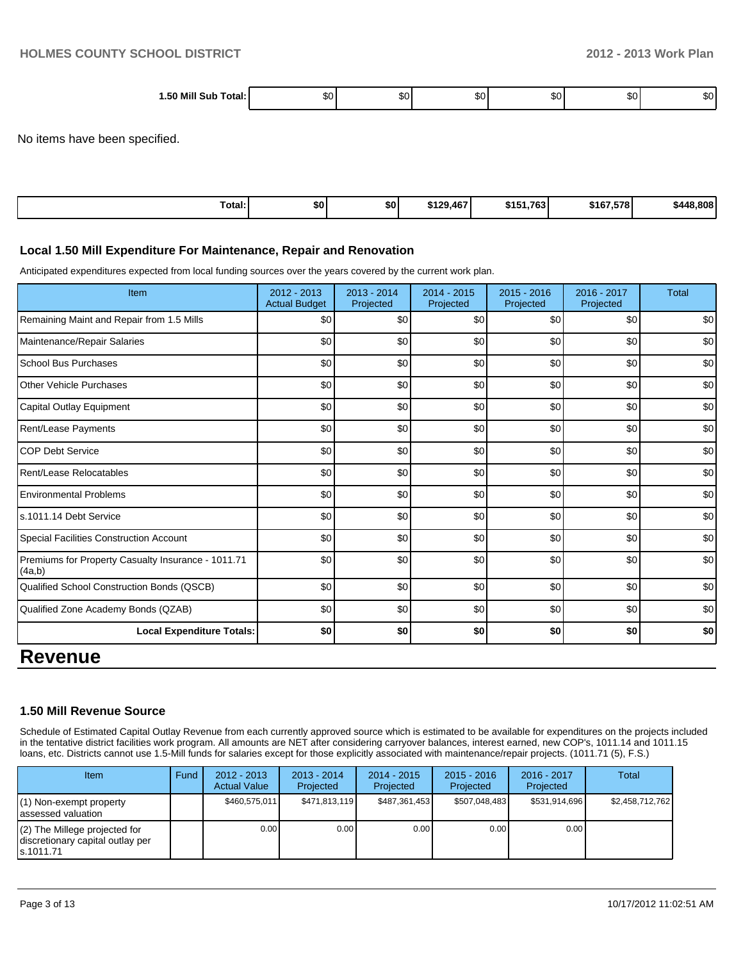| 1.50 Mill Sub Total: | æи | ж.<br>-DU | п.,<br>JU | w | an u |
|----------------------|----|-----------|-----------|---|------|

No items have been specified.

| $\sim$ $\sim$<br>Total: | \$0 | \$0 | \$129,467 | \$151.763 | \$167.578 | \$448.808 |
|-------------------------|-----|-----|-----------|-----------|-----------|-----------|
|                         |     |     |           |           |           |           |

### **Local 1.50 Mill Expenditure For Maintenance, Repair and Renovation**

Anticipated expenditures expected from local funding sources over the years covered by the current work plan.

| Item                                                         | 2012 - 2013<br><b>Actual Budget</b> | $2013 - 2014$<br>Projected | 2014 - 2015<br>Projected | $2015 - 2016$<br>Projected | 2016 - 2017<br>Projected | <b>Total</b> |
|--------------------------------------------------------------|-------------------------------------|----------------------------|--------------------------|----------------------------|--------------------------|--------------|
| Remaining Maint and Repair from 1.5 Mills                    | \$0                                 | \$0                        | \$0                      | \$0                        | \$0                      | \$0          |
| Maintenance/Repair Salaries                                  | \$0                                 | \$0                        | \$0                      | \$0                        | \$0                      | \$0          |
| <b>School Bus Purchases</b>                                  | \$0                                 | \$0                        | \$0                      | \$0                        | \$0                      | \$0          |
| <b>Other Vehicle Purchases</b>                               | \$0                                 | \$0                        | \$0                      | \$0                        | \$0                      | \$0          |
| Capital Outlay Equipment                                     | \$0                                 | \$0                        | \$0                      | \$0                        | \$0                      | \$0          |
| Rent/Lease Payments                                          | \$0                                 | \$0                        | \$0                      | \$0                        | \$0                      | \$0          |
| <b>COP Debt Service</b>                                      | \$0                                 | \$0                        | \$0                      | \$0                        | \$0                      | \$0          |
| Rent/Lease Relocatables                                      | \$0                                 | \$0                        | \$0                      | \$0                        | \$0                      | \$0          |
| <b>Environmental Problems</b>                                | \$0                                 | \$0                        | \$0                      | \$0                        | \$0                      | \$0          |
| s.1011.14 Debt Service                                       | \$0                                 | \$0                        | \$0                      | \$0                        | \$0                      | \$0          |
| Special Facilities Construction Account                      | \$0                                 | \$0                        | \$0                      | \$0                        | \$0                      | \$0          |
| Premiums for Property Casualty Insurance - 1011.71<br>(4a,b) | \$0                                 | \$0                        | \$0                      | \$0                        | \$0                      | \$0          |
| Qualified School Construction Bonds (QSCB)                   | \$0                                 | \$0                        | \$0                      | \$0                        | \$0                      | \$0          |
| Qualified Zone Academy Bonds (QZAB)                          | \$0                                 | \$0                        | \$0                      | \$0                        | \$0                      | \$0          |
| <b>Local Expenditure Totals:</b>                             | \$0                                 | \$0                        | \$0                      | \$0                        | \$0                      | \$0          |
| <b>Revenue</b>                                               |                                     |                            |                          |                            |                          |              |

### **1.50 Mill Revenue Source**

Schedule of Estimated Capital Outlay Revenue from each currently approved source which is estimated to be available for expenditures on the projects included in the tentative district facilities work program. All amounts are NET after considering carryover balances, interest earned, new COP's, 1011.14 and 1011.15 loans, etc. Districts cannot use 1.5-Mill funds for salaries except for those explicitly associated with maintenance/repair projects. (1011.71 (5), F.S.)

| Item                                                                              | Fund | $2012 - 2013$<br><b>Actual Value</b> | $2013 - 2014$<br>Projected | 2014 - 2015<br>Projected | $2015 - 2016$<br>Projected | $2016 - 2017$<br>Projected | Total           |
|-----------------------------------------------------------------------------------|------|--------------------------------------|----------------------------|--------------------------|----------------------------|----------------------------|-----------------|
| $(1)$ Non-exempt property<br>lassessed valuation                                  |      | \$460,575,011                        | \$471.813.119              | \$487,361,453            | \$507.048.483              | \$531.914.696              | \$2,458,712,762 |
| $(2)$ The Millege projected for<br>discretionary capital outlay per<br>ls.1011.71 |      | 0.00                                 | 0.001                      | 0.00                     | 0.00                       | 0.00 <sub>l</sub>          |                 |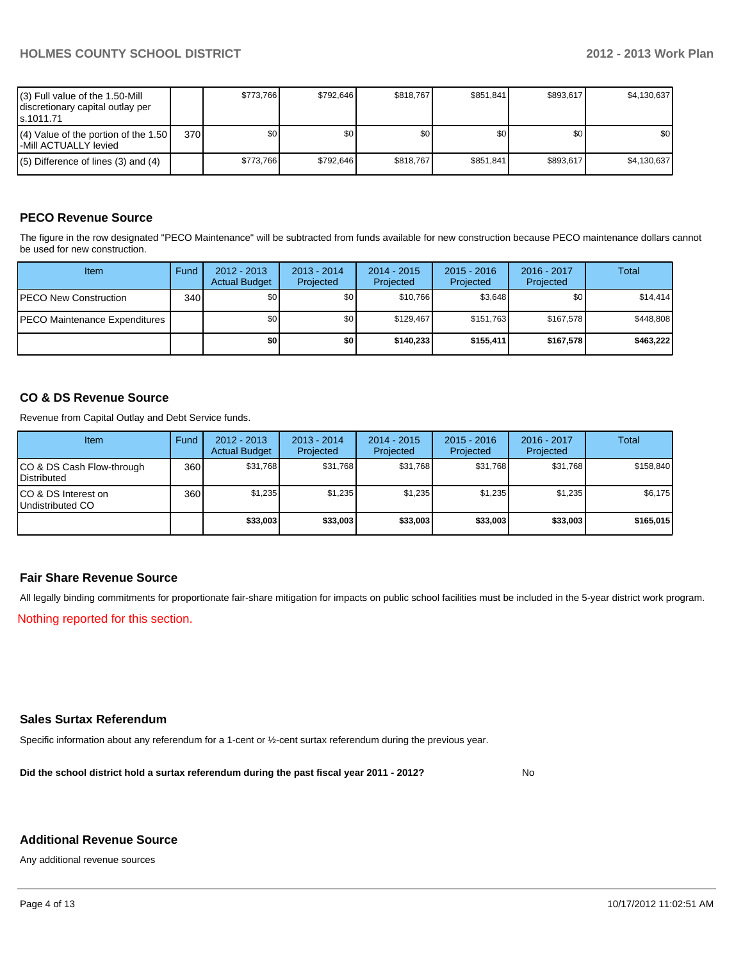| $(3)$ Full value of the 1.50-Mill<br>discretionary capital outlay per<br>ls.1011.71 |       | \$773.766 | \$792.646 | \$818.767 | \$851.841 | \$893,617 | \$4,130,637      |
|-------------------------------------------------------------------------------------|-------|-----------|-----------|-----------|-----------|-----------|------------------|
| $(4)$ Value of the portion of the 1.50<br>l-Mill ACTUALLY levied                    | 370 l | \$O I     | \$0       | \$0       | ا 30      | \$0       | \$0 <sub>1</sub> |
| $(5)$ Difference of lines $(3)$ and $(4)$                                           |       | \$773.766 | \$792.646 | \$818.767 | \$851.841 | \$893.617 | \$4,130,637      |

# **PECO Revenue Source**

The figure in the row designated "PECO Maintenance" will be subtracted from funds available for new construction because PECO maintenance dollars cannot be used for new construction.

| Item                                  | Fund             | $2012 - 2013$<br><b>Actual Budget</b> | $2013 - 2014$<br>Projected | $2014 - 2015$<br>Projected | $2015 - 2016$<br>Projected | 2016 - 2017<br>Projected | Total     |
|---------------------------------------|------------------|---------------------------------------|----------------------------|----------------------------|----------------------------|--------------------------|-----------|
| <b>IPECO New Construction</b>         | 340 <sup>l</sup> | \$0 <sub>l</sub>                      | \$0 <sub>1</sub>           | \$10.766                   | \$3,648                    | \$0                      | \$14,414  |
| <b>IPECO Maintenance Expenditures</b> |                  | \$0 <sub>1</sub>                      | \$0 <sub>1</sub>           | \$129.467                  | \$151.763                  | \$167.578                | \$448,808 |
|                                       |                  | \$0                                   | \$0                        | \$140.233                  | \$155.411                  | \$167.578                | \$463,222 |

### **CO & DS Revenue Source**

Revenue from Capital Outlay and Debt Service funds.

| <b>Item</b>                                        | Fund             | $2012 - 2013$<br><b>Actual Budget</b> | $2013 - 2014$<br>Projected | 2014 - 2015<br>Projected | $2015 - 2016$<br>Projected | 2016 - 2017<br>Projected | Total     |
|----------------------------------------------------|------------------|---------------------------------------|----------------------------|--------------------------|----------------------------|--------------------------|-----------|
| ICO & DS Cash Flow-through<br><b>I</b> Distributed | 360 <sup>I</sup> | \$31,768                              | \$31,768                   | \$31.768                 | \$31,768                   | \$31,768                 | \$158,840 |
| ICO & DS Interest on<br>Undistributed CO           | 360              | \$1,235                               | \$1,235                    | \$1,235                  | \$1.235                    | \$1,235                  | \$6,175   |
|                                                    |                  | \$33,003                              | \$33,003                   | \$33,003                 | \$33,003                   | \$33.003                 | \$165,015 |

### **Fair Share Revenue Source**

All legally binding commitments for proportionate fair-share mitigation for impacts on public school facilities must be included in the 5-year district work program.

Nothing reported for this section.

### **Sales Surtax Referendum**

Specific information about any referendum for a 1-cent or ½-cent surtax referendum during the previous year.

**Did the school district hold a surtax referendum during the past fiscal year 2011 - 2012?**

No

### **Additional Revenue Source**

Any additional revenue sources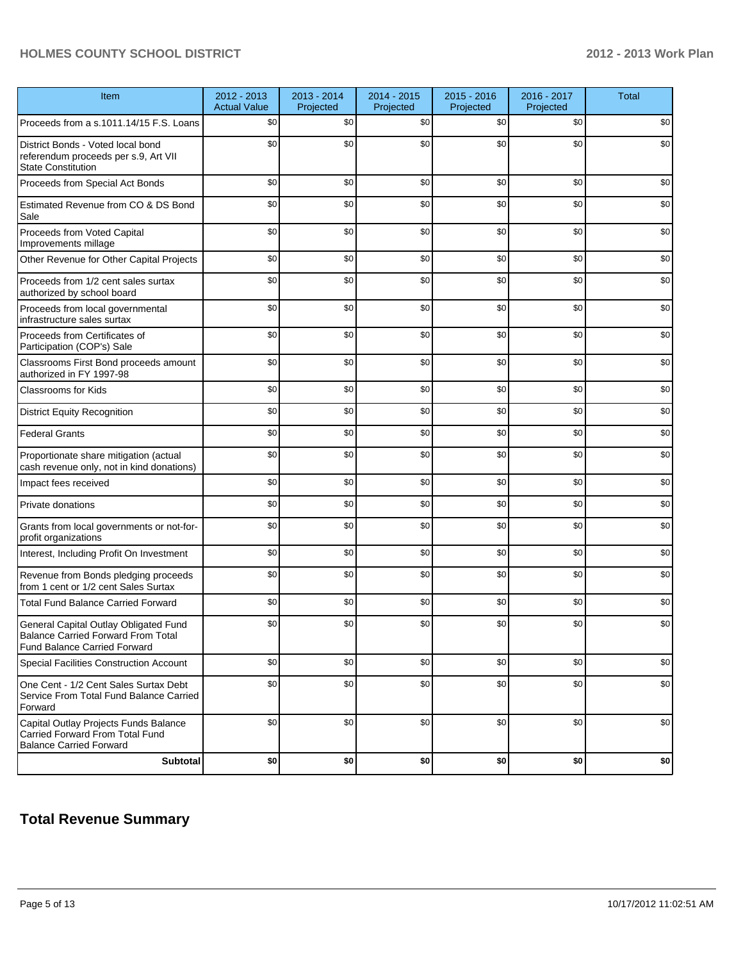# **HOLMES COUNTY SCHOOL DISTRICT 2012 - 2013 Work Plan**

| Item                                                                                                                      | 2012 - 2013<br><b>Actual Value</b> | 2013 - 2014<br>Projected | 2014 - 2015<br>Projected | 2015 - 2016<br>Projected | 2016 - 2017<br>Projected | <b>Total</b> |
|---------------------------------------------------------------------------------------------------------------------------|------------------------------------|--------------------------|--------------------------|--------------------------|--------------------------|--------------|
| Proceeds from a s.1011.14/15 F.S. Loans                                                                                   | \$0                                | \$0                      | \$0                      | \$0                      | \$0                      | \$0          |
| District Bonds - Voted local bond<br>referendum proceeds per s.9, Art VII<br><b>State Constitution</b>                    | \$0                                | \$0                      | \$0                      | \$0                      | \$0                      | \$0          |
| Proceeds from Special Act Bonds                                                                                           | \$0                                | \$0                      | \$0                      | \$0                      | \$0                      | \$0          |
| Estimated Revenue from CO & DS Bond<br>Sale                                                                               | \$0                                | \$0                      | \$0                      | \$0                      | \$0                      | \$0          |
| Proceeds from Voted Capital<br>Improvements millage                                                                       | \$0                                | \$0                      | \$0                      | \$0                      | \$0                      | \$0          |
| Other Revenue for Other Capital Projects                                                                                  | \$0                                | \$0                      | \$0                      | \$0                      | \$0                      | \$0          |
| Proceeds from 1/2 cent sales surtax<br>authorized by school board                                                         | \$0                                | \$0                      | \$0                      | \$0                      | \$0                      | \$0          |
| Proceeds from local governmental<br>infrastructure sales surtax                                                           | \$0                                | \$0                      | \$0                      | \$0                      | \$0                      | \$0          |
| Proceeds from Certificates of<br>Participation (COP's) Sale                                                               | \$0                                | \$0                      | \$0                      | \$0                      | \$0                      | \$0          |
| Classrooms First Bond proceeds amount<br>authorized in FY 1997-98                                                         | \$0                                | \$0                      | \$0                      | \$0                      | \$0                      | \$0          |
| <b>Classrooms for Kids</b>                                                                                                | \$0                                | \$0                      | \$0                      | \$0                      | \$0                      | \$0          |
| <b>District Equity Recognition</b>                                                                                        | \$0                                | \$0                      | \$0                      | \$0                      | \$0                      | \$0          |
| <b>Federal Grants</b>                                                                                                     | \$0                                | \$0                      | \$0                      | \$0                      | \$0                      | \$0          |
| Proportionate share mitigation (actual<br>cash revenue only, not in kind donations)                                       | \$0                                | \$0                      | \$0                      | \$0                      | \$0                      | \$0          |
| Impact fees received                                                                                                      | \$0                                | \$0                      | \$0                      | \$0                      | \$0                      | \$0          |
| Private donations                                                                                                         | \$0                                | \$0                      | \$0                      | \$0                      | \$0                      | \$0          |
| Grants from local governments or not-for-<br>profit organizations                                                         | \$0                                | \$0                      | \$0                      | \$0                      | \$0                      | \$0          |
| Interest, Including Profit On Investment                                                                                  | \$0                                | \$0                      | \$0                      | \$0                      | \$0                      | \$0          |
| Revenue from Bonds pledging proceeds<br>from 1 cent or 1/2 cent Sales Surtax                                              | \$0                                | \$0                      | \$0                      | \$0                      | \$0                      | \$0          |
| <b>Total Fund Balance Carried Forward</b>                                                                                 | \$0                                | \$0                      | \$0                      | \$0                      | \$0                      | \$0          |
| General Capital Outlay Obligated Fund<br><b>Balance Carried Forward From Total</b><br><b>Fund Balance Carried Forward</b> | \$0                                | \$0                      | \$0                      | \$0                      | \$0                      | \$0          |
| Special Facilities Construction Account                                                                                   | \$0                                | \$0                      | \$0                      | \$0                      | \$0                      | \$0          |
| One Cent - 1/2 Cent Sales Surtax Debt<br>Service From Total Fund Balance Carried<br>Forward                               | \$0                                | \$0                      | \$0                      | \$0                      | \$0                      | \$0          |
| Capital Outlay Projects Funds Balance<br>Carried Forward From Total Fund<br><b>Balance Carried Forward</b>                | \$0                                | \$0                      | \$0                      | \$0                      | \$0                      | \$0          |
| <b>Subtotal</b>                                                                                                           | \$0                                | \$0                      | \$0                      | \$0                      | \$0                      | $$0\,$       |

# **Total Revenue Summary**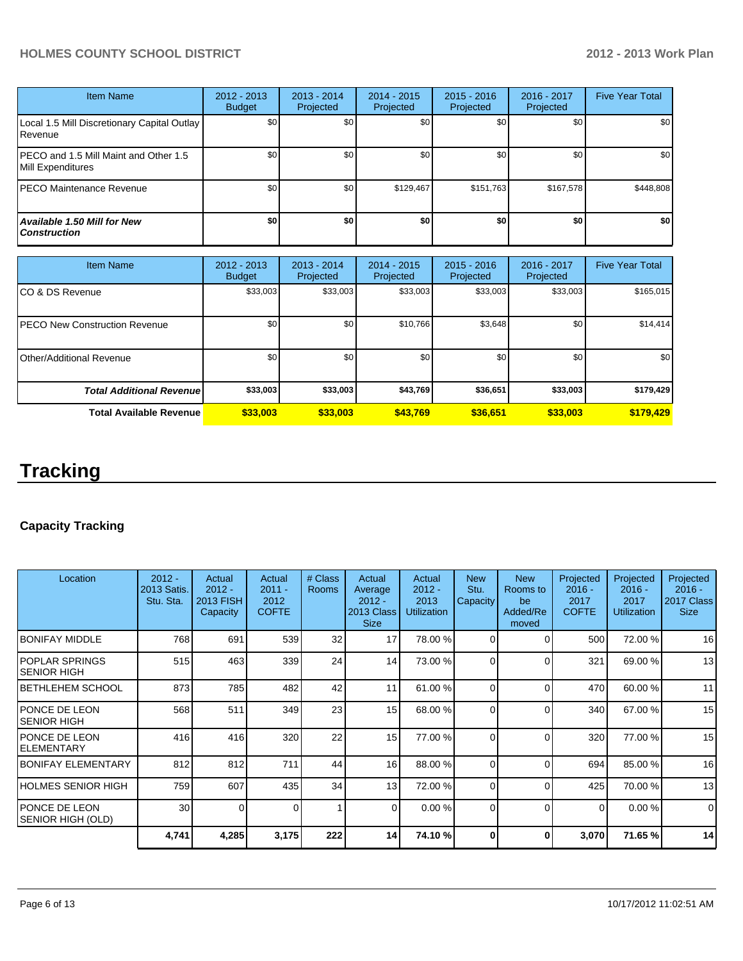# **HOLMES COUNTY SCHOOL DISTRICT 2012 - 2013 Work Plan**

| <b>Item Name</b>                                           | $2012 - 2013$<br><b>Budget</b> | $2013 - 2014$<br>Projected | 2014 - 2015<br>Projected | $2015 - 2016$<br>Projected | 2016 - 2017<br>Projected | <b>Five Year Total</b> |
|------------------------------------------------------------|--------------------------------|----------------------------|--------------------------|----------------------------|--------------------------|------------------------|
| Local 1.5 Mill Discretionary Capital Outlay<br>Revenue     | \$0                            | \$0                        | \$0                      | \$0                        | \$0                      | \$0                    |
| PECO and 1.5 Mill Maint and Other 1.5<br>Mill Expenditures | \$0                            | \$0                        | \$0                      | \$0                        | \$0                      | \$0                    |
| IPECO Maintenance Revenue                                  | \$0                            | \$0                        | \$129.467                | \$151.763                  | \$167,578                | \$448,808              |
| Available 1.50 Mill for New<br><b>Construction</b>         | \$0                            | \$0                        | \$0                      | \$0                        | \$0                      | \$0                    |

| <b>Item Name</b>                      | 2012 - 2013<br><b>Budget</b> | $2013 - 2014$<br>Projected | $2014 - 2015$<br>Projected | $2015 - 2016$<br>Projected | 2016 - 2017<br>Projected | <b>Five Year Total</b> |
|---------------------------------------|------------------------------|----------------------------|----------------------------|----------------------------|--------------------------|------------------------|
| ICO & DS Revenue                      | \$33,003                     | \$33,003                   | \$33,003                   | \$33,003                   | \$33,003                 | \$165,015              |
| <b>IPECO New Construction Revenue</b> | \$0 <sub>1</sub>             | \$0                        | \$10,766                   | \$3,648                    | \$0                      | \$14,414               |
| IOther/Additional Revenue             | \$0                          | \$0                        | \$0                        | \$0                        | \$0                      | \$0 <sub>1</sub>       |
| <b>Total Additional Revenuel</b>      | \$33,003                     | \$33,003                   | \$43,769                   | \$36,651                   | \$33,003                 | \$179,429              |
| <b>Total Available Revenue</b>        | \$33,003                     | \$33,003                   | \$43.769                   | \$36,651                   | \$33,003                 | \$179,429              |

# **Tracking**

# **Capacity Tracking**

| Location                            | $2012 -$<br>2013 Satis.<br>Stu. Sta. | Actual<br>$2012 -$<br><b>2013 FISH</b><br>Capacity | Actual<br>$2011 -$<br>2012<br><b>COFTE</b> | # Class<br><b>Rooms</b> | Actual<br>Average<br>$2012 -$<br>2013 Class<br><b>Size</b> | Actual<br>$2012 -$<br>2013<br><b>Utilization</b> | <b>New</b><br>Stu.<br>Capacity | <b>New</b><br>Rooms to<br>be<br>Added/Re<br>moved | Projected<br>$2016 -$<br>2017<br><b>COFTE</b> | Projected<br>$2016 -$<br>2017<br><b>Utilization</b> | Projected<br>$2016 -$<br>2017 Class<br><b>Size</b> |
|-------------------------------------|--------------------------------------|----------------------------------------------------|--------------------------------------------|-------------------------|------------------------------------------------------------|--------------------------------------------------|--------------------------------|---------------------------------------------------|-----------------------------------------------|-----------------------------------------------------|----------------------------------------------------|
| IBONIFAY MIDDLE                     | 768                                  | 691                                                | 539                                        | 32                      | 17                                                         | 78.00 %                                          | $\Omega$                       | ∩                                                 | 500                                           | 72.00 %                                             | 16                                                 |
| IPOPLAR SPRINGS<br>ISENIOR HIGH     | 515                                  | 463                                                | 339                                        | 24                      | 14                                                         | 73.00 %                                          | $\Omega$                       | $\Omega$                                          | 321                                           | 69.00 %                                             | 13                                                 |
| IBETHLEHEM SCHOOL                   | 873                                  | 785                                                | 482                                        | 42                      | 11                                                         | 61.00 %                                          | $\Omega$                       | $\Omega$                                          | 470                                           | 60.00 %                                             | 11                                                 |
| IPONCE DE LEON<br>ISENIOR HIGH      | 568                                  | 511                                                | 349                                        | 23                      | 15 <sup>1</sup>                                            | 68.00 %                                          | $\Omega$                       | $\Omega$                                          | 340l                                          | 67.00 %                                             | 15                                                 |
| IPONCE DE LEON<br>IELEMENTARY       | 416                                  | 416                                                | 320                                        | 22                      | 15 <sup>1</sup>                                            | 77.00 %                                          | $\Omega$                       | $\Omega$                                          | 320                                           | 77.00 %                                             | 15                                                 |
| <b>BONIFAY ELEMENTARY</b>           | 812                                  | 812                                                | 711                                        | 44                      | 16                                                         | 88.00 %                                          | $\Omega$                       | $\Omega$                                          | 694                                           | 85.00 %                                             | 16                                                 |
| HOLMES SENIOR HIGH                  | 759                                  | 607                                                | 435                                        | 34                      | 13 <sup>1</sup>                                            | 72.00 %                                          | $\Omega$                       | $\Omega$                                          | 425                                           | 70.00 %                                             | 13                                                 |
| IPONCE DE LEON<br>SENIOR HIGH (OLD) | 30                                   | $\Omega$                                           | $\Omega$                                   | 1                       | $\Omega$                                                   | 0.00 %                                           | $\Omega$                       | $\Omega$                                          | $\Omega$                                      | 0.00%                                               | $\mathbf 0$                                        |
|                                     | 4,741                                | 4,285                                              | 3,175                                      | 222                     | 14                                                         | 74.10 %                                          | ŋ                              | 0                                                 | 3,070                                         | 71.65 %                                             | 14                                                 |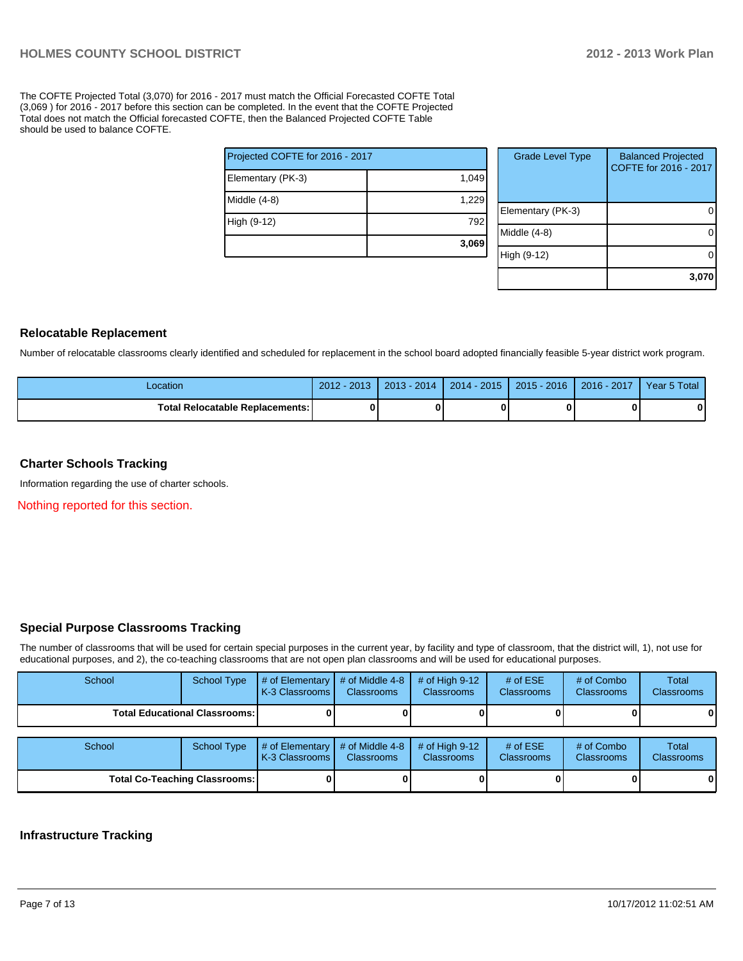The COFTE Projected Total (3,070) for 2016 - 2017 must match the Official Forecasted COFTE Total (3,069 ) for 2016 - 2017 before this section can be completed. In the event that the COFTE Projected Total does not match the Official forecasted COFTE, then the Balanced Projected COFTE Table should be used to balance COFTE.

|                                 | 3,069 |
|---------------------------------|-------|
| High (9-12)                     | 792   |
| Middle (4-8)                    | 1,229 |
| Elementary (PK-3)               | 1,049 |
| Projected COFTE for 2016 - 2017 |       |

| <b>Grade Level Type</b> | <b>Balanced Projected</b><br>COFTE for 2016 - 2017 |
|-------------------------|----------------------------------------------------|
| Elementary (PK-3)       |                                                    |
| Middle $(4-8)$          |                                                    |
| High (9-12)             |                                                    |
|                         | 3,070                                              |

### **Relocatable Replacement**

Number of relocatable classrooms clearly identified and scheduled for replacement in the school board adopted financially feasible 5-year district work program.

| Location                        | $2012 - 2013$ | 2013 - 2014 | $2014 - 2015$ | 2015 - 2016 | $2016 - 2017$ | Year 5 Total |
|---------------------------------|---------------|-------------|---------------|-------------|---------------|--------------|
| Total Relocatable Replacements: |               |             |               |             |               |              |

### **Charter Schools Tracking**

Information regarding the use of charter schools.

Nothing reported for this section.

### **Special Purpose Classrooms Tracking**

The number of classrooms that will be used for certain special purposes in the current year, by facility and type of classroom, that the district will, 1), not use for educational purposes, and 2), the co-teaching classrooms that are not open plan classrooms and will be used for educational purposes.

| School | <b>School Type</b>                     | $\#$ of Elementary<br>K-3 Classrooms | # of Middle 4-8<br><b>Classrooms</b> | # of High $9-12$<br><b>Classrooms</b> | # of $ESE$<br><b>Classrooms</b> | # of Combo<br><b>Classrooms</b> | Total<br><b>Classrooms</b> |
|--------|----------------------------------------|--------------------------------------|--------------------------------------|---------------------------------------|---------------------------------|---------------------------------|----------------------------|
|        | <b>Total Educational Classrooms: I</b> |                                      |                                      |                                       |                                 |                                 | 01                         |
| School | <b>School Type</b>                     | # of Elementary<br>K-3 Classrooms    | # of Middle 4-8<br><b>Classrooms</b> | # of High $9-12$<br><b>Classrooms</b> | # of $ESE$<br><b>Classrooms</b> | # of Combo<br>Classrooms        | Total<br>Classrooms        |
|        | <b>Total Co-Teaching Classrooms:</b>   |                                      |                                      |                                       |                                 |                                 | 0                          |

### **Infrastructure Tracking**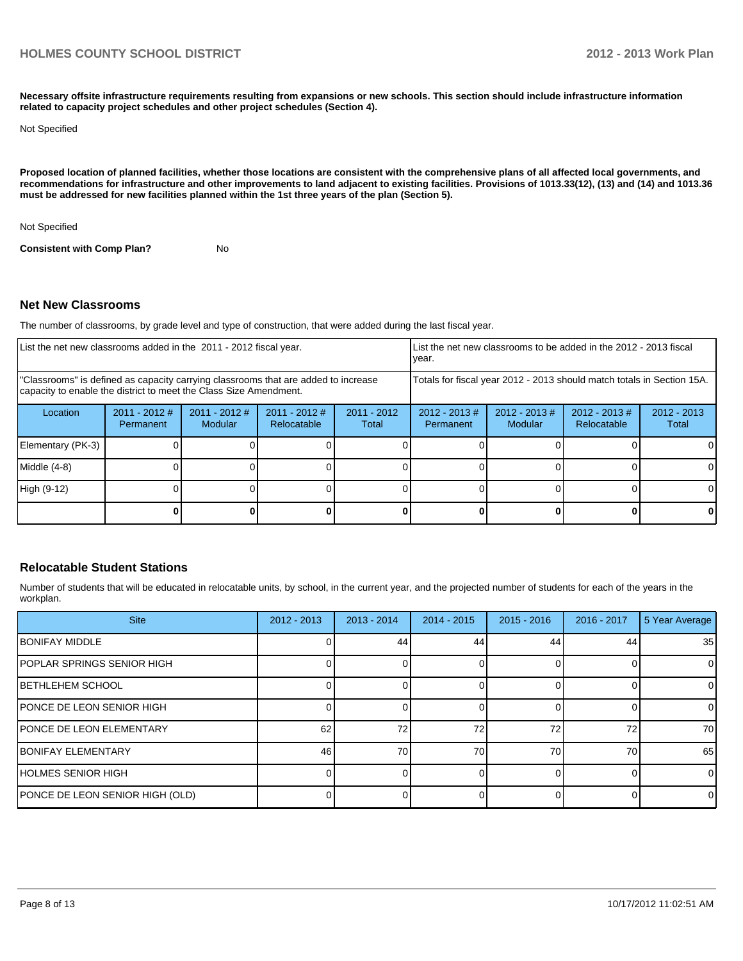**Necessary offsite infrastructure requirements resulting from expansions or new schools. This section should include infrastructure information related to capacity project schedules and other project schedules (Section 4).**

Not Specified

**Proposed location of planned facilities, whether those locations are consistent with the comprehensive plans of all affected local governments, and recommendations for infrastructure and other improvements to land adjacent to existing facilities. Provisions of 1013.33(12), (13) and (14) and 1013.36 must be addressed for new facilities planned within the 1st three years of the plan (Section 5).**

Not Specified

**Consistent with Comp Plan?** No

### **Net New Classrooms**

The number of classrooms, by grade level and type of construction, that were added during the last fiscal year.

| List the net new classrooms added in the 2011 - 2012 fiscal year.                                                                                       |                                     |                            |                                |                        | year.                         |                            | List the net new classrooms to be added in the 2012 - 2013 fiscal      |                        |
|---------------------------------------------------------------------------------------------------------------------------------------------------------|-------------------------------------|----------------------------|--------------------------------|------------------------|-------------------------------|----------------------------|------------------------------------------------------------------------|------------------------|
| "Classrooms" is defined as capacity carrying classrooms that are added to increase<br>capacity to enable the district to meet the Class Size Amendment. |                                     |                            |                                |                        |                               |                            | Totals for fiscal year 2012 - 2013 should match totals in Section 15A. |                        |
| Location                                                                                                                                                | $2011 - 2012$ #<br><b>Permanent</b> | $2011 - 2012$ #<br>Modular | $2011 - 2012$ #<br>Relocatable | $2011 - 2012$<br>Total | $2012 - 2013 \#$<br>Permanent | $2012 - 2013$ #<br>Modular | $2012 - 2013 \#$<br><b>Relocatable</b>                                 | $2012 - 2013$<br>Total |
| Elementary (PK-3)                                                                                                                                       |                                     |                            |                                |                        |                               |                            |                                                                        |                        |
| Middle (4-8)                                                                                                                                            |                                     |                            |                                |                        |                               |                            |                                                                        |                        |
| High (9-12)                                                                                                                                             |                                     |                            |                                |                        |                               |                            |                                                                        |                        |
|                                                                                                                                                         |                                     |                            |                                |                        |                               |                            |                                                                        | 0                      |

### **Relocatable Student Stations**

Number of students that will be educated in relocatable units, by school, in the current year, and the projected number of students for each of the years in the workplan.

| <b>Site</b>                       | $2012 - 2013$ | $2013 - 2014$ | $2014 - 2015$ | $2015 - 2016$ | 2016 - 2017 | 5 Year Average |
|-----------------------------------|---------------|---------------|---------------|---------------|-------------|----------------|
| <b>IBONIFAY MIDDLE</b>            |               | 44            | 44            | 44            | 44          | 35             |
| <b>POPLAR SPRINGS SENIOR HIGH</b> |               |               |               |               |             | $\Omega$       |
| <b>IBETHLEHEM SCHOOL</b>          |               |               |               |               |             | $\Omega$       |
| <b>IPONCE DE LEON SENIOR HIGH</b> |               |               |               |               |             |                |
| <b>IPONCE DE LEON ELEMENTARY</b>  | 62            | 72            | 72            | 72            | 72          | 70             |
| <b>IBONIFAY ELEMENTARY</b>        | 46            | 70            | 70            | 70            | 70          | 65             |
| <b>IHOLMES SENIOR HIGH</b>        |               |               |               |               |             | $\Omega$       |
| PONCE DE LEON SENIOR HIGH (OLD)   |               |               |               |               |             | $\Omega$       |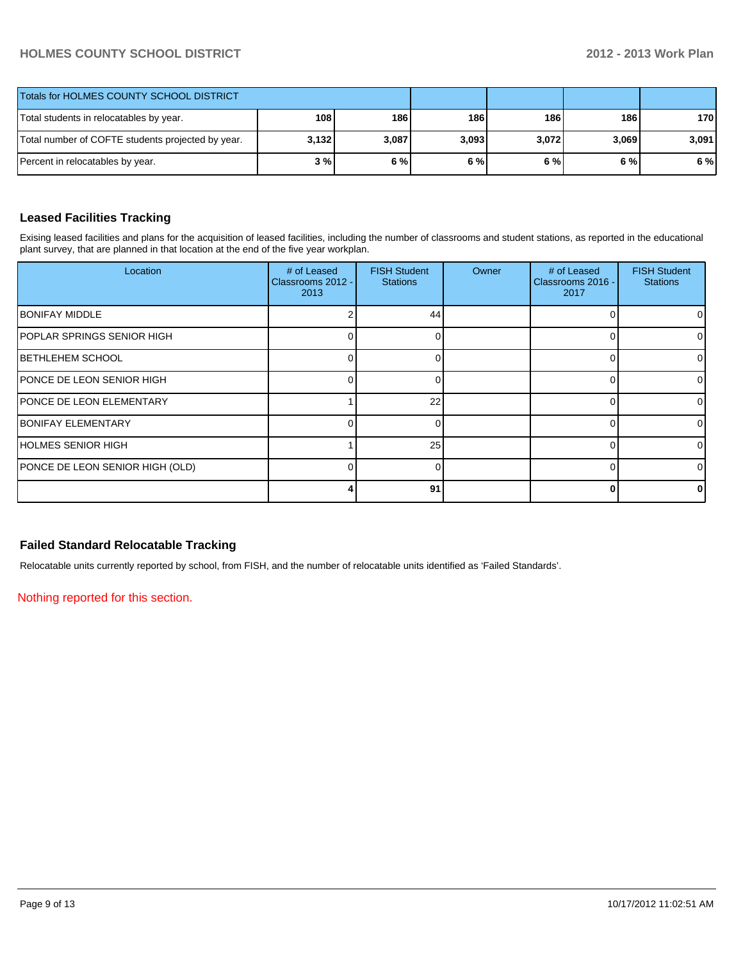# **HOLMES COUNTY SCHOOL DISTRICT 2012 - 2013 Work Plan**

| Totals for HOLMES COUNTY SCHOOL DISTRICT          |       |       |       |       |       |       |
|---------------------------------------------------|-------|-------|-------|-------|-------|-------|
| Total students in relocatables by year.           | 108   | 186   | 186   | 186   | 186 I | 170   |
| Total number of COFTE students projected by year. | 3,132 | 3,087 | 3,093 | 3,072 | 3,069 | 3,091 |
| Percent in relocatables by year.                  | 3 % I | 6%    | 6%    | 6 % l | 6 % l | 6 %   |

# **Leased Facilities Tracking**

Exising leased facilities and plans for the acquisition of leased facilities, including the number of classrooms and student stations, as reported in the educational plant survey, that are planned in that location at the end of the five year workplan.

| Location                          | # of Leased<br>Classrooms 2012 -<br>2013 | <b>FISH Student</b><br><b>Stations</b> | Owner | # of Leased<br>Classrooms 2016 -<br>2017 | <b>FISH Student</b><br><b>Stations</b> |
|-----------------------------------|------------------------------------------|----------------------------------------|-------|------------------------------------------|----------------------------------------|
| <b>BONIFAY MIDDLE</b>             |                                          | 44                                     |       |                                          | ΟI                                     |
| <b>POPLAR SPRINGS SENIOR HIGH</b> |                                          |                                        |       |                                          | $\Omega$                               |
| <b>IBETHLEHEM SCHOOL</b>          |                                          |                                        |       | Ω                                        | 01                                     |
| <b>PONCE DE LEON SENIOR HIGH</b>  |                                          |                                        |       |                                          | $\Omega$                               |
| <b>PONCE DE LEON ELEMENTARY</b>   |                                          | 22                                     |       |                                          | 01                                     |
| <b>IBONIFAY ELEMENTARY</b>        |                                          |                                        |       |                                          | $\Omega$                               |
| <b>IHOLMES SENIOR HIGH</b>        |                                          | 25                                     |       |                                          | 01                                     |
| PONCE DE LEON SENIOR HIGH (OLD)   |                                          |                                        |       |                                          | 01                                     |
|                                   |                                          | 91                                     |       |                                          | 0                                      |

# **Failed Standard Relocatable Tracking**

Relocatable units currently reported by school, from FISH, and the number of relocatable units identified as 'Failed Standards'.

Nothing reported for this section.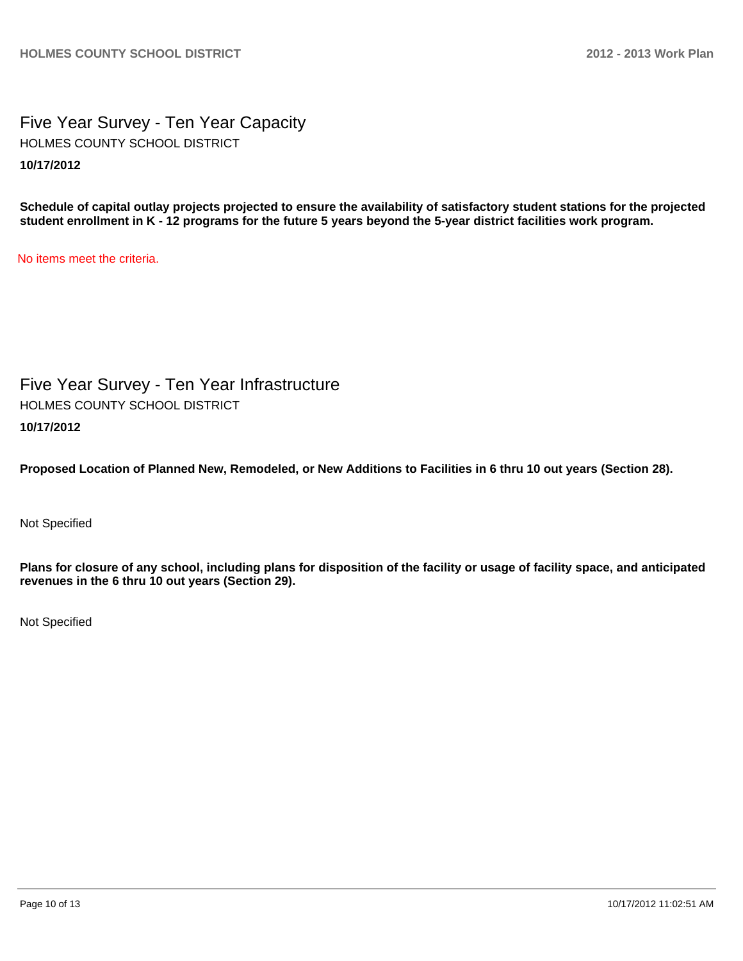Five Year Survey - Ten Year Capacity **10/17/2012** HOLMES COUNTY SCHOOL DISTRICT

**Schedule of capital outlay projects projected to ensure the availability of satisfactory student stations for the projected student enrollment in K - 12 programs for the future 5 years beyond the 5-year district facilities work program.**

No items meet the criteria.

Five Year Survey - Ten Year Infrastructure **10/17/2012** HOLMES COUNTY SCHOOL DISTRICT

**Proposed Location of Planned New, Remodeled, or New Additions to Facilities in 6 thru 10 out years (Section 28).**

Not Specified

**Plans for closure of any school, including plans for disposition of the facility or usage of facility space, and anticipated revenues in the 6 thru 10 out years (Section 29).**

Not Specified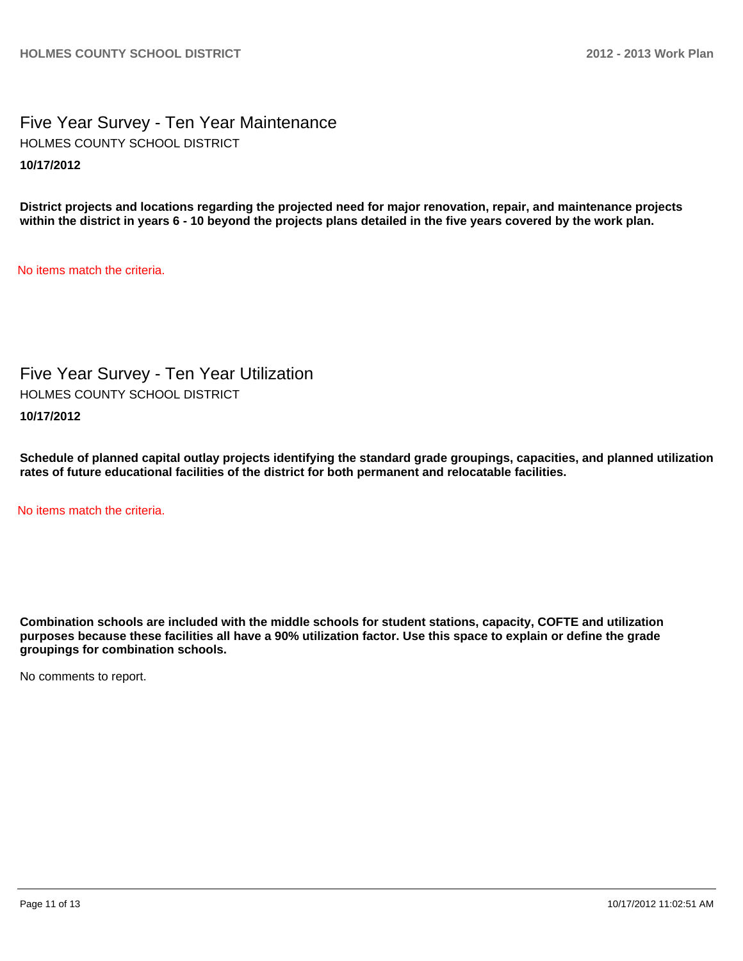Five Year Survey - Ten Year Maintenance **10/17/2012** HOLMES COUNTY SCHOOL DISTRICT

**District projects and locations regarding the projected need for major renovation, repair, and maintenance projects within the district in years 6 - 10 beyond the projects plans detailed in the five years covered by the work plan.**

No items match the criteria.

Five Year Survey - Ten Year Utilization HOLMES COUNTY SCHOOL DISTRICT

**10/17/2012**

**Schedule of planned capital outlay projects identifying the standard grade groupings, capacities, and planned utilization rates of future educational facilities of the district for both permanent and relocatable facilities.**

No items match the criteria.

**Combination schools are included with the middle schools for student stations, capacity, COFTE and utilization purposes because these facilities all have a 90% utilization factor. Use this space to explain or define the grade groupings for combination schools.**

No comments to report.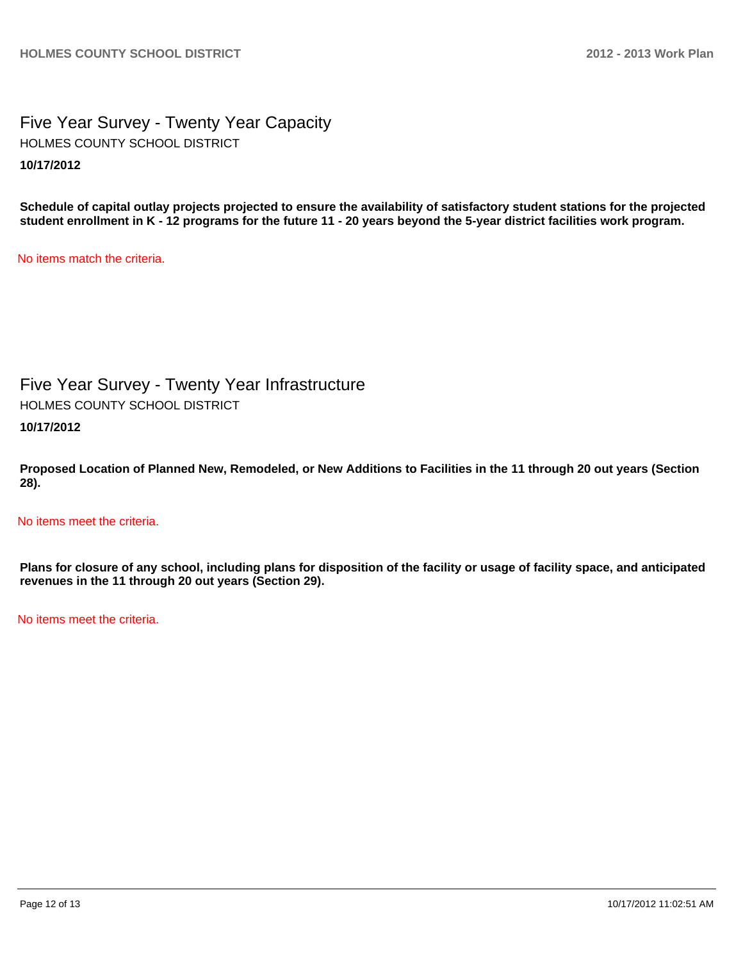Five Year Survey - Twenty Year Capacity **10/17/2012** HOLMES COUNTY SCHOOL DISTRICT

**Schedule of capital outlay projects projected to ensure the availability of satisfactory student stations for the projected student enrollment in K - 12 programs for the future 11 - 20 years beyond the 5-year district facilities work program.**

No items match the criteria.

Five Year Survey - Twenty Year Infrastructure HOLMES COUNTY SCHOOL DISTRICT

**10/17/2012**

**Proposed Location of Planned New, Remodeled, or New Additions to Facilities in the 11 through 20 out years (Section 28).**

No items meet the criteria.

**Plans for closure of any school, including plans for disposition of the facility or usage of facility space, and anticipated revenues in the 11 through 20 out years (Section 29).**

No items meet the criteria.